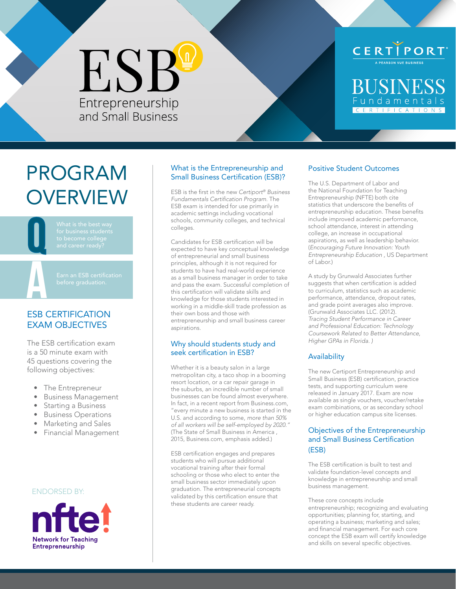# ESB Entrepreneurship<br>and Small Business

### CERTIPORT<sup>.</sup>

**BUSINESS** undamenta CERTIFICATION

### PROGRAM **OVERVIEW**

Q and career ready?



### ESB CERTIFICATION EXAM OBJECTIVES

The ESB certification exam is a 50 minute exam with 45 questions covering the following objectives:

- The Entrepreneur
- Business Management
- Starting a Business
- Business Operations
- Marketing and Sales
- Financial Management

### ENDORSED BY:



### What is the Entrepreneurship and Small Business Certification (ESB)?

ESB is the first in the new *Certiport® Business* Fundamentals Certification Program. The ESB exam is intended for use primarily in academic settings including vocational schools, community colleges, and technical colleges.

Candidates for ESB certification will be expected to have key conceptual knowledge of entrepreneurial and small business principles, although it is not required for students to have had real-world experience as a small business manager in order to take and pass the exam. Successful completion of this certification will validate skills and knowledge for those students interested in working in a middle-skill trade profession as their own boss and those with entrepreneurship and small business career aspirations.

### Why should students study and seek certification in ESB?

Whether it is a beauty salon in a large metropolitan city, a taco shop in a booming resort location, or a car repair garage in the suburbs, an incredible number of small businesses can be found almost everywhere. In fact, in a recent report from Business.com, "every minute a new business is started in the U.S. and according to some, *more than 50% of all workers will be self-employed by 2020."* (The State of Small Business in America , 2015, Business.com, emphasis added.)

ESB certification engages and prepares students who will pursue additional vocational training after their formal schooling or those who elect to enter the small business sector immediately upon graduation. The entrepreneurial concepts validated by this certification ensure that these students are career ready.

### Positive Student Outcomes

The U.S. Department of Labor and the National Foundation for Teaching Entrepreneurship (NFTE) both cite statistics that underscore the benefits of entrepreneurship education. These benefits include improved academic performance, school attendance, interest in attending college, an increase in occupational aspirations, as well as leadership behavior. (Encouraging Future Innovation: Youth Entrepreneurship Education , US Department of Labor.)

A study by Grunwald Associates further suggests that when certification is added to curriculum, statistics such as academic performance, attendance, dropout rates, and grade point averages also improve. (Grunwald Associates LLC. (2012). Tracing Student Performance in Career and Professional Education: Technology Coursework Related to Better Attendance, Higher GPAs in Florida. )

### **Availability**

The new Certiport Entrepreneurship and Small Business (ESB) certification, practice tests, and supporting curriculum were released in January 2017. Exam are now available as single vouchers, voucher/retake exam combinations, or as secondary school or higher education campus site licenses.

### Objectives of the Entrepreneurship and Small Business Certification (ESB)

The ESB certification is built to test and validate foundation-level concepts and knowledge in entrepreneurship and small business management.

These core concepts include entrepreneurship; recognizing and evaluating opportunities; planning for, starting, and operating a business; marketing and sales; and financial management. For each core concept the ESB exam will certify knowledge and skills on several specific objectives.